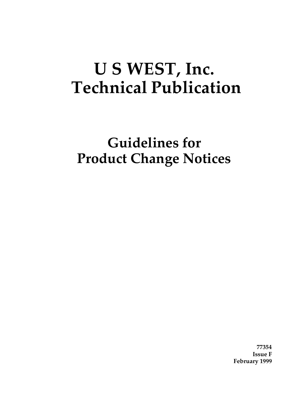# **U S WEST, Inc. Technical Publication**

**Guidelines for Product Change Notices**

> **77354 Issue F February 1999**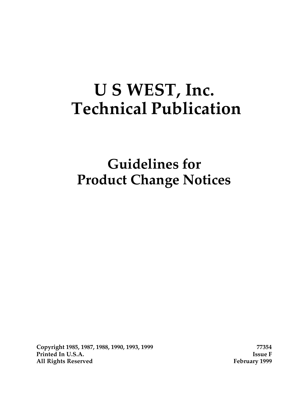# **U S WEST, Inc. Technical Publication**

**Guidelines for Product Change Notices**

**Copyright 1985, 1987, 1988, 1990, 1993, 1999 77354 Printed In U.S.A. Issue F All Rights Reserved February 1999**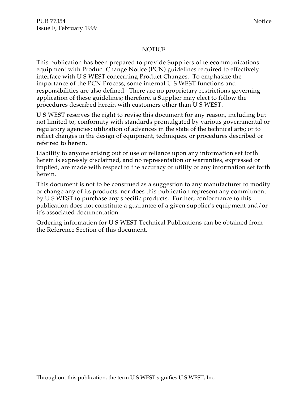#### NOTICE

This publication has been prepared to provide Suppliers of telecommunications equipment with Product Change Notice (PCN) guidelines required to effectively interface with U S WEST concerning Product Changes. To emphasize the importance of the PCN Process, some internal U S WEST functions and responsibilities are also defined. There are no proprietary restrictions governing application of these guidelines; therefore, a Supplier may elect to follow the procedures described herein with customers other than U S WEST.

U S WEST reserves the right to revise this document for any reason, including but not limited to, conformity with standards promulgated by various governmental or regulatory agencies; utilization of advances in the state of the technical arts; or to reflect changes in the design of equipment, techniques, or procedures described or referred to herein.

Liability to anyone arising out of use or reliance upon any information set forth herein is expressly disclaimed, and no representation or warranties, expressed or implied, are made with respect to the accuracy or utility of any information set forth herein.

This document is not to be construed as a suggestion to any manufacturer to modify or change any of its products, nor does this publication represent any commitment by U S WEST to purchase any specific products. Further, conformance to this publication does not constitute a guarantee of a given supplier's equipment and/or it's associated documentation.

Ordering information for U S WEST Technical Publications can be obtained from the Reference Section of this document.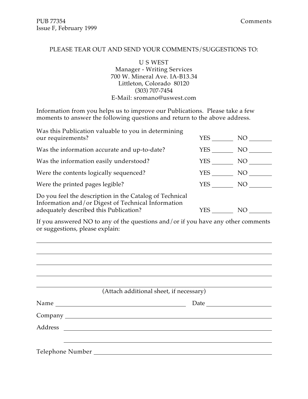$\overline{a}$ 

#### PLEASE TEAR OUT AND SEND YOUR COMMENTS/SUGGESTIONS TO:

U S WEST Manager - Writing Services 700 W. Mineral Ave. IA-B13.34 Littleton, Colorado 80120 (303) 707-7454 E-Mail: sromano@uswest.com

Information from you helps us to improve our Publications. Please take a few moments to answer the following questions and return to the above address.

| Was this Publication valuable to you in determining<br>our requirements?                                                                                | <b>YES</b> | NO. |
|---------------------------------------------------------------------------------------------------------------------------------------------------------|------------|-----|
| Was the information accurate and up-to-date?                                                                                                            | YES.       | NO. |
| Was the information easily understood?                                                                                                                  | <b>YES</b> | NO  |
| Were the contents logically sequenced?                                                                                                                  | <b>YES</b> | NO. |
| Were the printed pages legible?                                                                                                                         | <b>YES</b> | NO. |
| Do you feel the description in the Catalog of Technical<br>Information and/or Digest of Technical Information<br>adequately described this Publication? | YES        | NO  |

If you answered NO to any of the questions and/or if you have any other comments or suggestions, please explain:

|         | (Attach additional sheet, if necessary) |                                                                                                                                                                                                                               |
|---------|-----------------------------------------|-------------------------------------------------------------------------------------------------------------------------------------------------------------------------------------------------------------------------------|
|         |                                         | Date and the same state of the state of the state of the state of the state of the state of the state of the state of the state of the state of the state of the state of the state of the state of the state of the state of |
|         |                                         |                                                                                                                                                                                                                               |
| Address |                                         |                                                                                                                                                                                                                               |
|         |                                         |                                                                                                                                                                                                                               |
|         |                                         |                                                                                                                                                                                                                               |
|         |                                         |                                                                                                                                                                                                                               |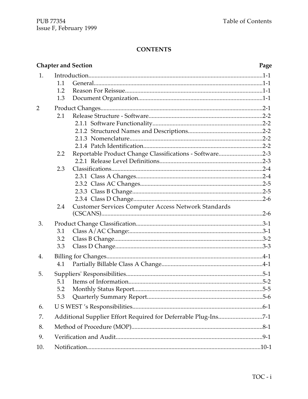|     |     | <b>Chapter and Section</b>                                     | Page |
|-----|-----|----------------------------------------------------------------|------|
| 1.  |     |                                                                |      |
|     | 1.1 |                                                                |      |
|     | 1.2 |                                                                |      |
|     | 1.3 |                                                                |      |
| 2   |     |                                                                |      |
|     | 2.1 |                                                                |      |
|     |     |                                                                |      |
|     |     |                                                                |      |
|     |     |                                                                |      |
|     |     |                                                                |      |
|     | 2.2 | Reportable Product Change Classifications - Software2-3        |      |
|     |     |                                                                |      |
|     | 2.3 |                                                                |      |
|     |     |                                                                |      |
|     |     |                                                                |      |
|     |     |                                                                |      |
|     |     |                                                                |      |
|     | 2.4 | <b>Customer Services Computer Access Network Standards</b>     |      |
| 3.  |     |                                                                |      |
|     | 3.1 |                                                                |      |
|     | 3.2 |                                                                |      |
|     | 3.3 |                                                                |      |
| 4.  |     |                                                                |      |
|     | 4.1 |                                                                |      |
| 5.  |     |                                                                |      |
|     | 5.1 |                                                                |      |
|     | 5.2 |                                                                |      |
|     | 5.3 |                                                                |      |
| 6.  |     |                                                                |      |
| 7.  |     | Additional Supplier Effort Required for Deferrable Plug-Ins7-1 |      |
| 8.  |     |                                                                |      |
| 9.  |     |                                                                |      |
| 10. |     |                                                                |      |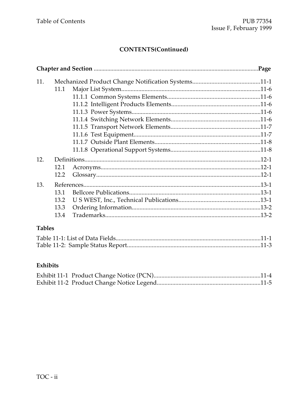# **CONTENTS(Continued)**

| 11. |      |  |
|-----|------|--|
|     | 11.1 |  |
|     |      |  |
|     |      |  |
|     |      |  |
|     |      |  |
|     |      |  |
|     |      |  |
|     |      |  |
|     |      |  |
| 12. |      |  |
|     | 12.1 |  |
|     | 12.2 |  |
| 13. |      |  |
|     | 13.1 |  |
|     | 13.2 |  |
|     | 13.3 |  |
|     | 13.4 |  |

# **Tables**

# Exhibits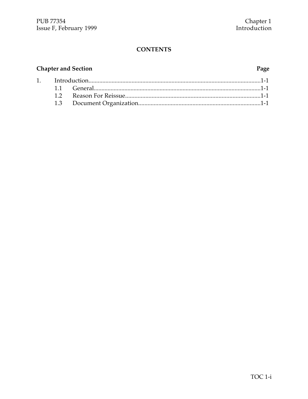# **Chapter and Section**

 $1.$ 

#### Page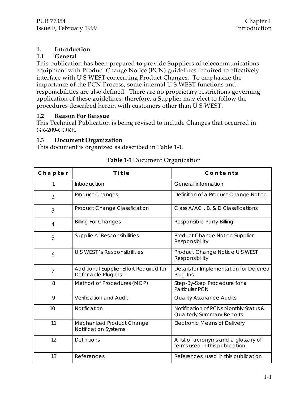#### **1. Introduction**

#### **1.1 General**

This publication has been prepared to provide Suppliers of telecommunications equipment with Product Change Notice (PCN) guidelines required to effectively interface with U S WEST concerning Product Changes. To emphasize the importance of the PCN Process, some internal U S WEST functions and responsibilities are also defined. There are no proprietary restrictions governing application of these guidelines; therefore, a Supplier may elect to follow the procedures described herein with customers other than U S WEST.

#### **1.2 Reason For Reissue**

This Technical Publication is being revised to include Changes that occurred in GR-209-CORE.

#### **1.3 Document Organization**

This document is organized as described in Table 1-1.

| Chapter        | <b>Title</b>                                                   | Contents                                                                  |
|----------------|----------------------------------------------------------------|---------------------------------------------------------------------------|
|                | Introduction                                                   | General information                                                       |
| $\overline{2}$ | <b>Product Changes</b>                                         | Definition of a Product Change Notice                                     |
| 3              | <b>Product Change Classification</b>                           | Class A/AC, B, & D Classifications                                        |
| $\overline{4}$ | <b>Billing For Changes</b>                                     | Responsible Party Billing                                                 |
| 5              | <b>Suppliers' Responsibilities</b>                             | Product Change Notice Supplier<br>Responsibility                          |
| 6              | U S WEST 's Responsibilities                                   | Product Change Notice U S WEST<br>Responsibility                          |
| 7              | Additional Supplier Effort Required for<br>Deferrable Plug-Ins | Details for Implementation for Deferred<br>Plug-Ins                       |
| 8              | Method of Procedures (MOP)                                     | Step-By-Step Procedure for a<br><b>Particular PCN</b>                     |
| 9              | <b>Verification and Audit</b>                                  | <b>Quality Assurance Audits</b>                                           |
| 10             | Notification                                                   | Notification of PCNs Monthly Status &<br><b>Quarterly Summary Reports</b> |
| 11             | Mechanized Product Change<br><b>Notification Systems</b>       | <b>Electronic Means of Delivery</b>                                       |
| 12             | <b>Definitions</b>                                             | A list of acronyms and a glossary of<br>terms used in this publication.   |
| 13             | References                                                     | References used in this publication                                       |

#### **Table 1-1** Document Organization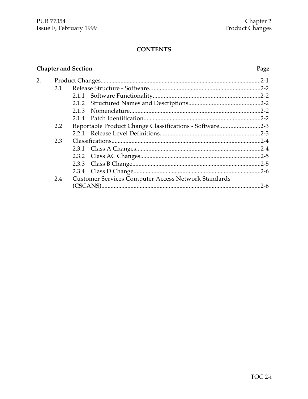# **Chapter and Section**

#### Page

| 2. |     |                                                         |           |
|----|-----|---------------------------------------------------------|-----------|
|    | 2.1 |                                                         |           |
|    |     |                                                         |           |
|    |     |                                                         |           |
|    |     |                                                         |           |
|    |     |                                                         |           |
|    | 2.2 | Reportable Product Change Classifications - Software2-3 |           |
|    |     |                                                         |           |
|    | 2.3 |                                                         |           |
|    |     |                                                         |           |
|    |     |                                                         |           |
|    |     |                                                         |           |
|    |     |                                                         |           |
|    | 2.4 | Customer Services Computer Access Network Standards     |           |
|    |     |                                                         | $.2 - 6.$ |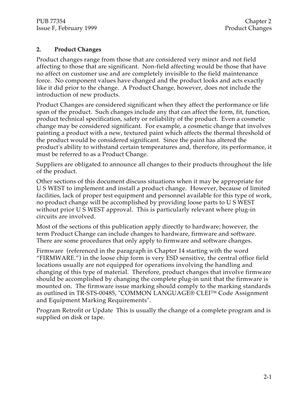#### **2. Product Changes**

Product changes range from those that are considered very minor and not field affecting to those that are significant. Non-field affecting would be those that have no affect on customer use and are completely invisible to the field maintenance force. No component values have changed and the product looks and acts exactly like it did prior to the change. A Product Change, however, does not include the introduction of new products.

Product Changes are considered significant when they affect the performance or life span of the product. Such changes include any that can affect the form, fit, function, product technical specification, safety or reliability of the product. Even a cosmetic change may be considered significant. For example, a cosmetic change that involves painting a product with a new, textured paint which affects the thermal threshold of the product would be considered significant. Since the paint has altered the product's ability to withstand certain temperatures and, therefore, its performance, it must be referred to as a Product Change.

Suppliers are obligated to announce all changes to their products throughout the life of the product.

Other sections of this document discuss situations when it may be appropriate for U S WEST to implement and install a product change. However, because of limited facilities, lack of proper test equipment and personnel available for this type of work, no product change will be accomplished by providing loose parts to U S WEST without prior U S WEST approval. This is particularly relevant where plug-in circuits are involved.

Most of the sections of this publication apply directly to hardware; however, the term Product Change can include changes to hardware, firmware and software. There are some procedures that only apply to firmware and software changes.

Firmware (referenced in the paragraph in Chapter 14 starting with the word "FIRMWARE.") in the loose chip form is very ESD sensitive, the central office field locations usually are not equipped for operations involving the handling and changing of this type of material. Therefore, product changes that involve firmware should be accomplished by changing the complete plug-in unit that the firmware is mounted on. The firmware issue marking should comply to the marking standards as outlined in TR-STS-00485, "COMMON LANGUAGE® CLEI™ Code Assignment and Equipment Marking Requirements".

Program Retrofit or Update This is usually the change of a complete program and is supplied on disk or tape.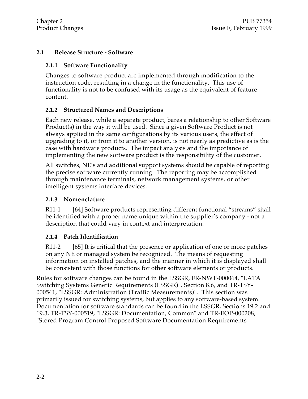#### **2.1 Release Structure - Software**

#### **2.1.1 Software Functionality**

Changes to software product are implemented through modification to the instruction code, resulting in a change in the functionality. This use of functionality is not to be confused with its usage as the equivalent of feature content.

#### **2.1.2 Structured Names and Descriptions**

Each new release, while a separate product, bares a relationship to other Software Product(s) in the way it will be used. Since a given Software Product is not always applied in the same configurations by its various users, the effect of upgrading to it, or from it to another version, is not nearly as predictive as is the case with hardware products. The impact analysis and the importance of implementing the new software product is the responsibility of the customer.

All switches, NE's and additional support systems should be capable of reporting the precise software currently running. The reporting may be accomplished through maintenance terminals, network management systems, or other intelligent systems interface devices.

#### **2.1.3 Nomenclature**

R11-1 [64] Software products representing different functional "streams" shall be identified with a proper name unique within the supplier's company - not a description that could vary in context and interpretation.

#### **2.1.4 Patch Identification**

R11-2 [65] It is critical that the presence or application of one or more patches on any NE or managed system be recognized. The means of requesting information on installed patches, and the manner in which it is displayed shall be consistent with those functions for other software elements or products.

Rules for software changes can be found in the LSSGR, FR-NWT-000064, "LATA Switching Systems Generic Requirements (LSSGR)", Section 8.6, and TR-TSY-000541, "LSSGR: Administration (Traffic Measurements)". This section was primarily issued for switching systems, but applies to any software-based system. Documentation for software standards can be found in the LSSGR, Sections 19.2 and 19.3, TR-TSY-000519, "LSSGR: Documentation, Common" and TR-EOP-000208, "Stored Program Control Proposed Software Documentation Requirements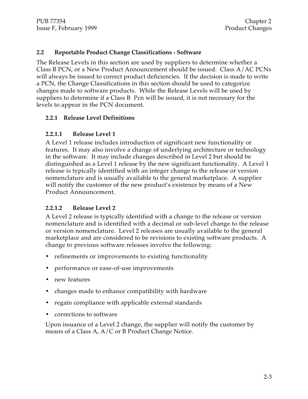#### **2.2 Reportable Product Change Classifications - Software**

The Release Levels in this section are used by suppliers to determine whether a Class B PCN, or a New Product Announcement should be issued. Class A/AC PCNs will always be issued to correct product deficiencies. If the decision is made to write a PCN, the Change Classifications in this section should be used to categorize changes made to software products. While the Release Levels will be used by suppliers to determine if a Class B Pcn will be issued, it is not necessary for the levels to appear in the PCN document.

#### **2.2.1 Release Level Definitions**

#### **2.2.1.1 Release Level 1**

A Level 1 release includes introduction of significant new functionality or features. It may also involve a change of underlying architecture or technology in the software. It may include changes described in Level 2 but should be distinguished as a Level 1 release by the new significant functionality. A Level 1 release is typically identified with an integer change to the release or version nomenclature and is usually available to the general marketplace. A supplier will notify the customer of the new product's existence by means of a New Product Announcement.

#### **2.2.1.2 Release Level 2**

A Level 2 release is typically identified with a change to the release or version nomenclature and is identified with a decimal or sub-level change to the release or version nomenclature. Level 2 releases are usually available to the general marketplace and are considered to be revisions to existing software products. A change to previous software releases involve the following:

- refinements or improvements to existing functionality
- performance or ease-of-use improvements
- new features
- changes made to enhance compatibility with hardware
- regain compliance with applicable external standards
- corrections to software

Upon issuance of a Level 2 change, the supplier will notify the customer by means of a Class A, A/C or B Product Change Notice.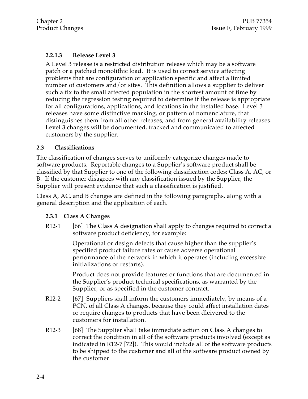### **2.2.1.3 Release Level 3**

A Level 3 release is a restricted distribution release which may be a software patch or a patched monolithic load. It is used to correct service affecting problems that are configuration or application specific and affect a limited number of customers and/or sites. This definition allows a supplier to deliver such a fix to the small affected population in the shortest amount of time by reducing the regression testing required to determine if the release is appropriate for all configurations, applications, and locations in the installed base. Level 3 releases have some distinctive marking, or pattern of nomenclature, that distinguishes them from all other releases, and from general availability releases. Level 3 changes will be documented, tracked and communicated to affected customers by the supplier.

#### **2.3 Classifications**

The classification of changes serves to uniformly categorize changes made to software products. Reportable changes to a Supplier's software product shall be classified by that Supplier to one of the following classification codes: Class A, AC, or B. If the customer disagrees with any classification issued by the Supplier, the Supplier will present evidence that such a classification is justified.

Class A, AC, and B changes are defined in the following paragraphs, along with a general description and the application of each.

#### **2.3.1 Class A Changes**

R12-1 [66] The Class A designation shall apply to changes required to correct a software product deficiency, for example:

> Operational or design defects that cause higher than the supplier's specified product failure rates or cause adverse operational performance of the network in which it operates (including excessive initializations or restarts).

Product does not provide features or functions that are documented in the Supplier's product technical specifications, as warranted by the Supplier, or as specified in the customer contract.

- R12-2 [67] Suppliers shall inform the customers immediately, by means of a PCN, of all Class A changes, because they could affect installation dates or require changes to products that have been dleivered to the customers for installation.
- R12-3 [68] The Supplier shall take immediate action on Class A changes to correct the condition in all of the software products involved (except as indicated in R12-7 [72]). This would include all of the software products to be shipped to the customer and all of the software product owned by the customer.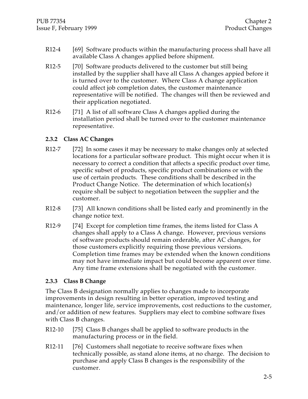- R12-4 [69] Software products within the manufacturing process shall have all available Class A changes applied before shipment.
- R12-5 [70] Software products delivered to the customer but still being installed by the supplier shall have all Class A changes appied before it is turned over to the customer. Where Class A change application could affect job completion dates, the customer maintenance representative will be notified. The changes will then be reviewed and their application negotiated.
- R12-6 [71] A list of all software Class A changes applied during the installation period shall be turned over to the customer maintenance representative.

#### **2.3.2 Class AC Changes**

- R12-7 [72] In some cases it may be necessary to make changes only at selected locations for a particular software product. This might occur when it is necessary to correct a condition that affects a specific product over time, specific subset of products, specific product combinations or with the use of certain products. These conditions shall be described in the Product Change Notice. The determination of which location(s) require shall be subject to negotiation between the supplier and the customer.
- R12-8 [73] All known conditions shall be listed early and prominently in the change notice text.
- R12-9 [74] Except for completion time frames, the items listed for Class A changes shall apply to a Class A change. However, previous versions of software products should remain orderable, after AC changes, for those customers explicitly requiring those previous versions. Completion time frames may be extended when the known conditions may not have immediate impact but could become apparent over time. Any time frame extensions shall be negotiated with the customer.

#### **2.3.3 Class B Change**

The Class B designation normally applies to changes made to incorporate improvements in design resulting in better operation, improved testing and maintenance, longer life, service improvements, cost reductions to the customer, and/or addition of new features. Suppliers may elect to combine software fixes with Class B changes.

- R12-10 [75] Class B changes shall be applied to software products in the manufacturing process or in the field.
- R12-11 [76] Customers shall negotiate to receive software fixes when technically possible, as stand alone items, at no charge. The decision to purchase and apply Class B changes is the responsibility of the customer.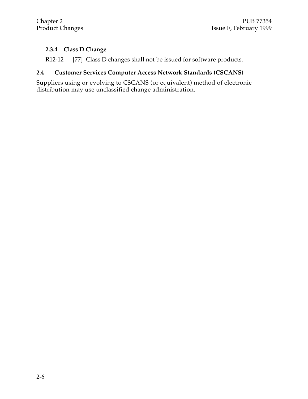# **2.3.4 Class D Change**

R12-12 [77] Class D changes shall not be issued for software products.

### **2.4 Customer Services Computer Access Network Standards (CSCANS)**

Suppliers using or evolving to CSCANS (or equivalent) method of electronic distribution may use unclassified change administration.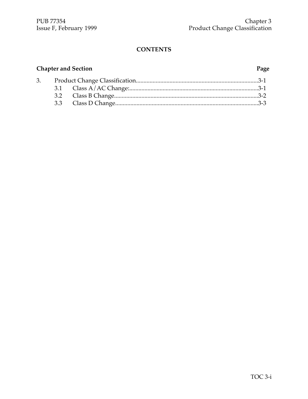# **Chapter and Section Page**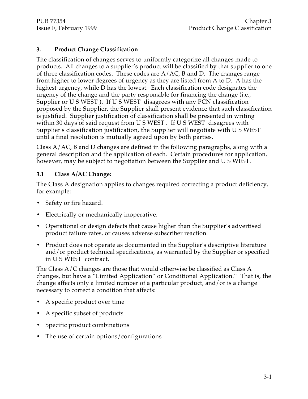# **3. Product Change Classification**

The classification of changes serves to uniformly categorize all changes made to products. All changes to a supplier's product will be classified by that supplier to one of three classification codes. These codes are  $A/AC$ , B and D. The changes range from higher to lower degrees of urgency as they are listed from A to D. A has the highest urgency, while D has the lowest. Each classification code designates the urgency of the change and the party responsible for financing the change (i.e., Supplier or U S WEST ). If U S WEST disagrees with any PCN classification proposed by the Supplier, the Supplier shall present evidence that such classification is justified. Supplier justification of classification shall be presented in writing within 30 days of said request from U S WEST . If U S WEST disagrees with Supplier's classification justification, the Supplier will negotiate with U S WEST until a final resolution is mutually agreed upon by both parties.

Class A/AC, B and D changes are defined in the following paragraphs, along with a general description and the application of each. Certain procedures for application, however, may be subject to negotiation between the Supplier and U S WEST.

# **3.1 Class A/AC Change:**

The Class A designation applies to changes required correcting a product deficiency, for example:

- Safety or fire hazard.
- Electrically or mechanically inoperative.
- Operational or design defects that cause higher than the Supplier's advertised product failure rates, or causes adverse subscriber reaction.
- Product does not operate as documented in the Supplier's descriptive literature and/or product technical specifications, as warranted by the Supplier or specified in U S WEST contract.

The Class A/C changes are those that would otherwise be classified as Class A changes, but have a "Limited Application" or Conditional Application." That is, the change affects only a limited number of a particular product, and/or is a change necessary to correct a condition that affects:

- A specific product over time
- A specific subset of products
- Specific product combinations
- The use of certain options/configurations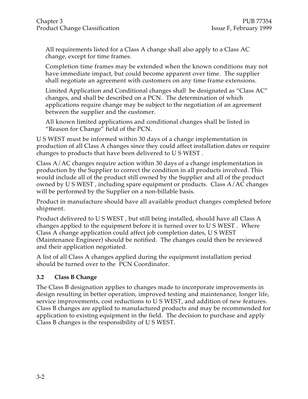All requirements listed for a Class A change shall also apply to a Class AC change, except for time frames.

Completion time frames may be extended when the known conditions may not have immediate impact, but could become apparent over time. The supplier shall negotiate an agreement with customers on any time frame extensions.

Limited Application and Conditional changes shall be designated as "Class AC" changes, and shall be described on a PCN. The determination of which applications require change may be subject to the negotiation of an agreement between the supplier and the customer.

All known limited applications and conditional changes shall be listed in "Reason for Change" field of the PCN.

U S WEST must be informed within 30 days of a change implementation in production of all Class A changes since they could affect installation dates or require changes to products that have been delivered to U S WEST .

Class A/AC changes require action within 30 days of a change implementation in production by the Supplier to correct the condition in all products involved. This would include all of the product still owned by the Supplier and all of the product owned by U S WEST , including spare equipment or products. Class A/AC changes will be performed by the Supplier on a non-billable basis.

Product in manufacture should have all available product changes completed before shipment.

Product delivered to U S WEST , but still being installed, should have all Class A changes applied to the equipment before it is turned over to U S WEST . Where Class A change application could affect job completion dates, U S WEST (Maintenance Engineer) should be notified. The changes could then be reviewed and their application negotiated.

A list of all Class A changes applied during the equipment installation period should be turned over to the PCN Coordinator.

# **3.2 Class B Change**

The Class B designation applies to changes made to incorporate improvements in design resulting in better operation, improved testing and maintenance, longer life, service improvements, cost reductions to U S WEST, and addition of new features. Class B changes are applied to manufactured products and may be recommended for application to existing equipment in the field. The decision to purchase and apply Class B changes is the responsibility of U S WEST.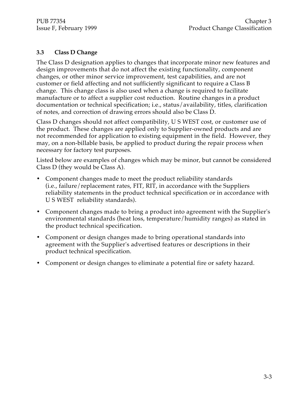#### **3.3 Class D Change**

The Class D designation applies to changes that incorporate minor new features and design improvements that do not affect the existing functionality, component changes, or other minor service improvement, test capabilities, and are not customer or field affecting and not sufficiently significant to require a Class B change. This change class is also used when a change is required to facilitate manufacture or to affect a supplier cost reduction. Routine changes in a product documentation or technical specification; i.e., status/availability, titles, clarification of notes, and correction of drawing errors should also be Class D.

Class D changes should not affect compatibility, U S WEST cost, or customer use of the product. These changes are applied only to Supplier-owned products and are not recommended for application to existing equipment in the field. However, they may, on a non-billable basis, be applied to product during the repair process when necessary for factory test purposes.

Listed below are examples of changes which may be minor, but cannot be considered Class D (they would be Class A).

- Component changes made to meet the product reliability standards (i.e., failure/replacement rates, FIT, RIT, in accordance with the Suppliers reliability statements in the product technical specification or in accordance with U S WEST reliability standards).
- Component changes made to bring a product into agreement with the Supplier's environmental standards (heat loss, temperature/humidity ranges) as stated in the product technical specification.
- Component or design changes made to bring operational standards into agreement with the Supplier's advertised features or descriptions in their product technical specification.
- Component or design changes to eliminate a potential fire or safety hazard.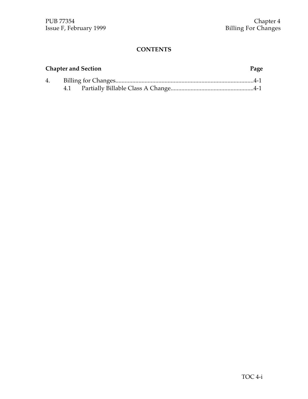# **Chapter and Section Page**

| 4. |  |
|----|--|
|    |  |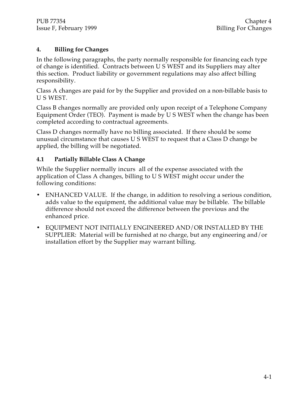### **4. Billing for Changes**

In the following paragraphs, the party normally responsible for financing each type of change is identified. Contracts between U S WEST and its Suppliers may alter this section. Product liability or government regulations may also affect billing responsibility.

Class A changes are paid for by the Supplier and provided on a non-billable basis to U S WEST.

Class B changes normally are provided only upon receipt of a Telephone Company Equipment Order (TEO). Payment is made by U S WEST when the change has been completed according to contractual agreements.

Class D changes normally have no billing associated. If there should be some unusual circumstance that causes U S WEST to request that a Class D change be applied, the billing will be negotiated.

# **4.1 Partially Billable Class A Change**

While the Supplier normally incurs all of the expense associated with the application of Class A changes, billing to U S WEST might occur under the following conditions:

- ENHANCED VALUE. If the change, in addition to resolving a serious condition, adds value to the equipment, the additional value may be billable. The billable difference should not exceed the difference between the previous and the enhanced price.
- EQUIPMENT NOT INITIALLY ENGINEERED AND/OR INSTALLED BY THE SUPPLIER: Material will be furnished at no charge, but any engineering and/or installation effort by the Supplier may warrant billing.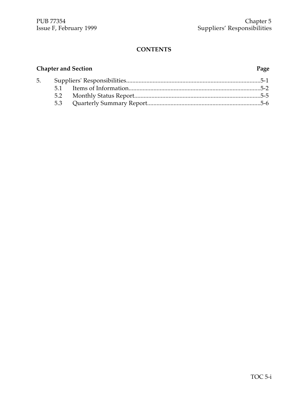# **Chapter and Section Page**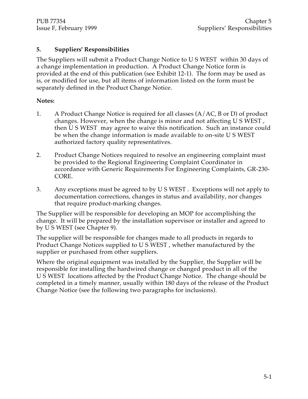### **5. Suppliers' Responsibilities**

The Suppliers will submit a Product Change Notice to U S WEST within 30 days of a change implementation in production. A Product Change Notice form is provided at the end of this publication (see Exhibit 12-1). The form may be used as is, or modified for use, but all items of information listed on the form must be separately defined in the Product Change Notice.

#### **Notes:**

- 1. A Product Change Notice is required for all classes  $(A/AC, B \text{ or } D)$  of product changes. However, when the change is minor and not affecting U S WEST , then U S WEST may agree to waive this notification. Such an instance could be when the change information is made available to on-site U S WEST authorized factory quality representatives.
- 2. Product Change Notices required to resolve an engineering complaint must be provided to the Regional Engineering Complaint Coordinator in accordance with Generic Requirements For Engineering Complaints, GR-230- CORE.
- 3. Any exceptions must be agreed to by U S WEST . Exceptions will not apply to documentation corrections, changes in status and availability, nor changes that require product-marking changes.

The Supplier will be responsible for developing an MOP for accomplishing the change. It will be prepared by the installation supervisor or installer and agreed to by U S WEST (see Chapter 9).

The supplier will be responsible for changes made to all products in regards to Product Change Notices supplied to U S WEST , whether manufactured by the supplier or purchased from other suppliers.

Where the original equipment was installed by the Supplier, the Supplier will be responsible for installing the hardwired change or changed product in all of the U S WEST locations affected by the Product Change Notice. The change should be completed in a timely manner, usually within 180 days of the release of the Product Change Notice (see the following two paragraphs for inclusions).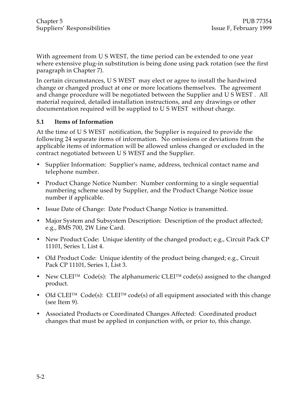With agreement from U S WEST, the time period can be extended to one year where extensive plug-in substitution is being done using pack rotation (see the first paragraph in Chapter 7).

In certain circumstances, U S WEST may elect or agree to install the hardwired change or changed product at one or more locations themselves. The agreement and change procedure will be negotiated between the Supplier and U S WEST . All material required, detailed installation instructions, and any drawings or other documentation required will be supplied to U S WEST without charge.

#### **5.1 Items of Information**

At the time of U S WEST notification, the Supplier is required to provide the following 24 separate items of information. No omissions or deviations from the applicable items of information will be allowed unless changed or excluded in the contract negotiated between U S WEST and the Supplier.

- Supplier Information: Supplier's name, address, technical contact name and telephone number.
- Product Change Notice Number: Number conforming to a single sequential numbering scheme used by Supplier, and the Product Change Notice issue number if applicable.
- Issue Date of Change: Date Product Change Notice is transmitted.
- Major System and Subsystem Description: Description of the product affected; e.g., BMS 700, 2W Line Card.
- New Product Code: Unique identity of the changed product; e.g., Circuit Pack CP 11101, Series 1, List 4.
- Old Product Code: Unique identity of the product being changed; e.g., Circuit Pack CP 11101, Series 1, List 3.
- New CLEI™ Code(s): The alphanumeric CLEI™ code(s) assigned to the changed product.
- Old CLEI<sup>™</sup> Code(s): CLEI<sup>™</sup> code(s) of all equipment associated with this change (see Item 9).
- Associated Products or Coordinated Changes Affected: Coordinated product changes that must be applied in conjunction with, or prior to, this change.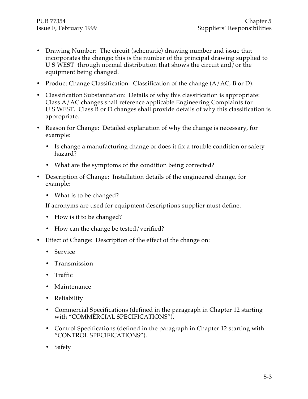- Drawing Number: The circuit (schematic) drawing number and issue that incorporates the change; this is the number of the principal drawing supplied to U S WEST through normal distribution that shows the circuit and/or the equipment being changed.
- Product Change Classification: Classification of the change (A/AC, B or D).
- Classification Substantiation: Details of why this classification is appropriate: Class A/AC changes shall reference applicable Engineering Complaints for U S WEST. Class B or D changes shall provide details of why this classification is appropriate.
- Reason for Change: Detailed explanation of why the change is necessary, for example:
	- Is change a manufacturing change or does it fix a trouble condition or safety hazard?
	- What are the symptoms of the condition being corrected?
- Description of Change: Installation details of the engineered change, for example:
	- What is to be changed?

If acronyms are used for equipment descriptions supplier must define.

- How is it to be changed?
- How can the change be tested/verified?
- Effect of Change: Description of the effect of the change on:
	- Service
	- Transmission
	- Traffic
	- Maintenance
	- Reliability
	- Commercial Specifications (defined in the paragraph in Chapter 12 starting with "COMMERCIAL SPECIFICATIONS").
	- Control Specifications (defined in the paragraph in Chapter 12 starting with "CONTROL SPECIFICATIONS").
	- Safety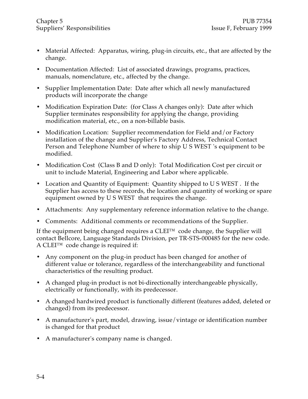- Material Affected: Apparatus, wiring, plug-in circuits, etc., that are affected by the change.
- Documentation Affected: List of associated drawings, programs, practices, manuals, nomenclature, etc., affected by the change.
- Supplier Implementation Date: Date after which all newly manufactured products will incorporate the change
- Modification Expiration Date: (for Class A changes only): Date after which Supplier terminates responsibility for applying the change, providing modification material, etc., on a non-billable basis.
- Modification Location: Supplier recommendation for Field and/or Factory installation of the change and Supplier's Factory Address, Technical Contact Person and Telephone Number of where to ship U S WEST 's equipment to be modified.
- Modification Cost (Class B and D only): Total Modification Cost per circuit or unit to include Material, Engineering and Labor where applicable.
- Location and Quantity of Equipment: Quantity shipped to U S WEST . If the Supplier has access to these records, the location and quantity of working or spare equipment owned by U S WEST that requires the change.
- Attachments: Any supplementary reference information relative to the change.
- Comments: Additional comments or recommendations of the Supplier.

If the equipment being changed requires a CLEI™ code change, the Supplier will contact Bellcore, Language Standards Division, per TR-STS-000485 for the new code. A CLEI™ code change is required if:

- Any component on the plug-in product has been changed for another of different value or tolerance, regardless of the interchangeability and functional characteristics of the resulting product.
- A changed plug-in product is not bi-directionally interchangeable physically, electrically or functionally, with its predecessor.
- A changed hardwired product is functionally different (features added, deleted or changed) from its predecessor.
- A manufacturer's part, model, drawing, issue/vintage or identification number is changed for that product
- A manufacturer's company name is changed.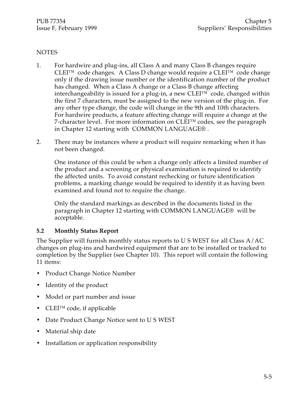#### **NOTES**

- 1. For hardwire and plug-ins, all Class A and many Class B changes require CLEI™ code changes. A Class D change would require a CLEI™ code change only if the drawing issue number or the identification number of the product has changed. When a Class A change or a Class B change affecting interchangeability is issued for a plug-in, a new  $CLEI^{TM}$  code, changed within the first 7 characters, must be assigned to the new version of the plug-in. For any other type change, the code will change in the 9th and 10th characters. For hardwire products, a feature affecting change will require a change at the 7-character level. For more information on CLEI™ codes, see the paragraph in Chapter 12 starting with COMMON LANGUAGE® .
- 2. There may be instances where a product will require remarking when it has not been changed.

One instance of this could be when a change only affects a limited number of the product and a screening or physical examination is required to identify the affected units. To avoid constant rechecking or future identification problems, a marking change would be required to identify it as having been examined and found not to require the change.

Only the standard markings as described in the documents listed in the paragraph in Chapter 12 starting with COMMON LANGUAGE® will be acceptable.

#### **5.2 Monthly Status Report**

The Supplier will furnish monthly status reports to U S WEST for all Class A/AC changes on plug-ins and hardwired equipment that are to be installed or tracked to completion by the Supplier (see Chapter 10). This report will contain the following 11 items:

- Product Change Notice Number
- Identity of the product
- Model or part number and issue
- CLEI<sup>TM</sup> code, if applicable
- Date Product Change Notice sent to U S WEST
- Material ship date
- Installation or application responsibility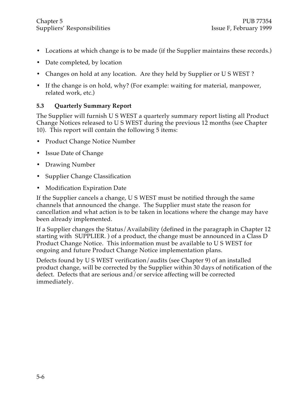- Locations at which change is to be made (if the Supplier maintains these records.)
- Date completed, by location
- Changes on hold at any location. Are they held by Supplier or U S WEST ?
- If the change is on hold, why? (For example: waiting for material, manpower, related work, etc.)

# **5.3 Quarterly Summary Report**

The Supplier will furnish U S WEST a quarterly summary report listing all Product Change Notices released to U S WEST during the previous 12 months (see Chapter 10). This report will contain the following 5 items:

- Product Change Notice Number
- Issue Date of Change
- Drawing Number
- Supplier Change Classification
- Modification Expiration Date

If the Supplier cancels a change, U S WEST must be notified through the same channels that announced the change. The Supplier must state the reason for cancellation and what action is to be taken in locations where the change may have been already implemented.

If a Supplier changes the Status/Availability (defined in the paragraph in Chapter 12 starting with SUPPLIER. ) of a product, the change must be announced in a Class D Product Change Notice. This information must be available to U S WEST for ongoing and future Product Change Notice implementation plans.

Defects found by U S WEST verification/audits (see Chapter 9) of an installed product change, will be corrected by the Supplier within 30 days of notification of the defect. Defects that are serious and/or service affecting will be corrected immediately.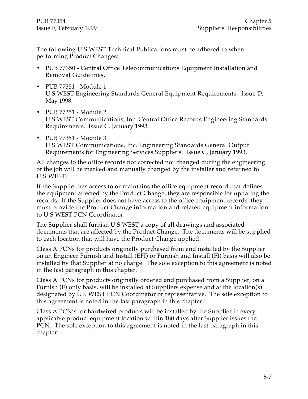The following U S WEST Technical Publications must be adhered to when performing Product Changes:

- PUB 77350 Central Office Telecommunications Equipment Installation and Removal Guidelines.
- PUB 77351 Module 1 U S WEST Engineering Standards General Equipment Requirements. Issue D, May 1998.
- PUB 77351 Module 2 U S WEST Communications, Inc. Central Office Records Engineering Standards Requirements. Issue C, January 1993.
- PUB 77351 Module 3 U S WEST Communications, Inc. Engineering Standards General Output Requirements for Engineering Services Suppliers. Issue C, January 1993.

All changes to the office records not corrected nor changed during the engineering of the job will be marked and manually changed by the installer and returned to U S WEST.

If the Supplier has access to or maintains the office equipment record that defines the equipment affected by the Product Change, they are responsible for updating the records. If the Supplier does not have access to the office equipment records, they must provide the Product Change information and related equipment information to U S WEST PCN Coordinator.

The Supplier shall furnish U S WEST a copy of all drawings and associated documents that are affected by the Product Change. The documents will be supplied to each location that will have the Product Change applied.

Class A PCNs for products originally purchased from and installed by the Supplier on an Engineer Furnish and Install (EFI) or Furnish and Install (FI) basis will also be installed by that Supplier at no charge. The sole exception to this agreement is noted in the last paragraph in this chapter.

Class A PCNs for products originally ordered and purchased from a Supplier, on a Furnish (F) only basis, will be installed at Suppliers expense and at the location(s) designated by U S WEST PCN Coordinator or representative. The sole exception to this agreement is noted in the last paragraph in this chapter.

Class A PCN's for hardwired products will be installed by the Supplier in every applicable product equipment location within 180 days after Supplier issues the PCN. The sole exception to this agreement is noted in the last paragraph in this chapter.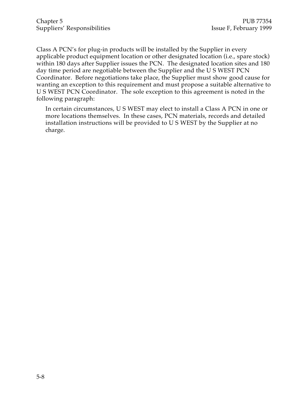Class A PCN's for plug-in products will be installed by the Supplier in every applicable product equipment location or other designated location (i.e., spare stock) within 180 days after Supplier issues the PCN. The designated location sites and 180 day time period are negotiable between the Supplier and the U S WEST PCN Coordinator. Before negotiations take place, the Supplier must show good cause for wanting an exception to this requirement and must propose a suitable alternative to U S WEST PCN Coordinator. The sole exception to this agreement is noted in the following paragraph:

In certain circumstances, U S WEST may elect to install a Class A PCN in one or more locations themselves. In these cases, PCN materials, records and detailed installation instructions will be provided to U S WEST by the Supplier at no charge.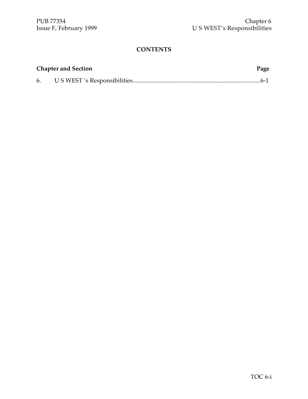| <b>Chapter and Section</b> | Page |
|----------------------------|------|
|                            |      |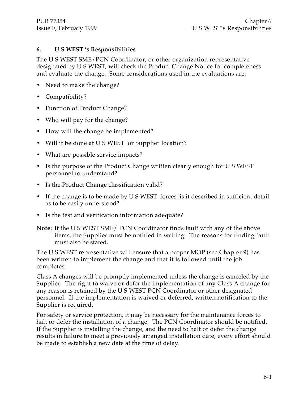#### **6. U S WEST 's Responsibilities**

The U S WEST SME/PCN Coordinator, or other organization representative designated by U S WEST, will check the Product Change Notice for completeness and evaluate the change. Some considerations used in the evaluations are:

- Need to make the change?
- Compatibility?
- Function of Product Change?
- Who will pay for the change?
- How will the change be implemented?
- Will it be done at U S WEST or Supplier location?
- What are possible service impacts?
- Is the purpose of the Product Change written clearly enough for U S WEST personnel to understand?
- Is the Product Change classification valid?
- If the change is to be made by U S WEST forces, is it described in sufficient detail as to be easily understood?
- Is the test and verification information adequate?
- **Note:** If the U S WEST SME/ PCN Coordinator finds fault with any of the above items, the Supplier must be notified in writing. The reasons for finding fault must also be stated.

The U S WEST representative will ensure that a proper MOP (see Chapter 9) has been written to implement the change and that it is followed until the job completes.

Class A changes will be promptly implemented unless the change is canceled by the Supplier. The right to waive or defer the implementation of any Class A change for any reason is retained by the U S WEST PCN Coordinator or other designated personnel. If the implementation is waived or deferred, written notification to the Supplier is required.

For safety or service protection, it may be necessary for the maintenance forces to halt or defer the installation of a change. The PCN Coordinator should be notified. If the Supplier is installing the change, and the need to halt or defer the change results in failure to meet a previously arranged installation date, every effort should be made to establish a new date at the time of delay.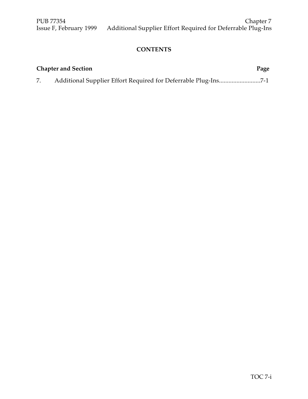| <b>Chapter and Section</b> | Page |
|----------------------------|------|
|                            |      |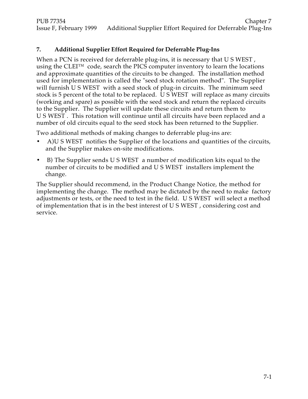# **7. Additional Supplier Effort Required for Deferrable Plug-Ins**

When a PCN is received for deferrable plug-ins, it is necessary that U S WEST, using the CLEI™ code, search the PICS computer inventory to learn the locations and approximate quantities of the circuits to be changed. The installation method used for implementation is called the "seed stock rotation method". The Supplier will furnish U S WEST with a seed stock of plug-in circuits. The minimum seed stock is 5 percent of the total to be replaced. U S WEST will replace as many circuits (working and spare) as possible with the seed stock and return the replaced circuits to the Supplier. The Supplier will update these circuits and return them to U S WEST . This rotation will continue until all circuits have been replaced and a number of old circuits equal to the seed stock has been returned to the Supplier.

Two additional methods of making changes to deferrable plug-ins are:

- A)U S WEST notifies the Supplier of the locations and quantities of the circuits, and the Supplier makes on-site modifications.
- B) The Supplier sends U S WEST a number of modification kits equal to the number of circuits to be modified and U S WEST installers implement the change.

The Supplier should recommend, in the Product Change Notice, the method for implementing the change. The method may be dictated by the need to make factory adjustments or tests, or the need to test in the field. U S WEST will select a method of implementation that is in the best interest of U S WEST , considering cost and service.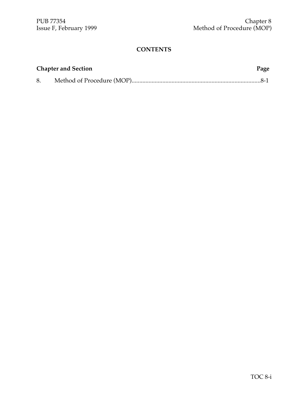|    | <b>Chapter and Section</b> | Page |
|----|----------------------------|------|
| 8. |                            |      |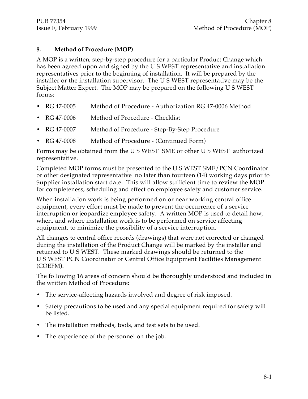#### **8. Method of Procedure (MOP)**

A MOP is a written, step-by-step procedure for a particular Product Change which has been agreed upon and signed by the U S WEST representative and installation representatives prior to the beginning of installation. It will be prepared by the installer or the installation supervisor. The U S WEST representative may be the Subject Matter Expert. The MOP may be prepared on the following U S WEST forms:

- RG 47-0005 Method of Procedure Authorization RG 47-0006 Method
- RG 47-0006 Method of Procedure Checklist
- RG 47-0007 Method of Procedure Step-By-Step Procedure
- RG 47-0008 Method of Procedure (Continued Form)

Forms may be obtained from the U S WEST SME or other U S WEST authorized representative.

Completed MOP forms must be presented to the U S WEST SME/PCN Coordinator or other designated representative no later than fourteen (14) working days prior to Supplier installation start date. This will allow sufficient time to review the MOP for completeness, scheduling and effect on employee safety and customer service.

When installation work is being performed on or near working central office equipment, every effort must be made to prevent the occurrence of a service interruption or jeopardize employee safety. A written MOP is used to detail how, when, and where installation work is to be performed on service affecting equipment, to minimize the possibility of a service interruption.

All changes to central office records (drawings) that were not corrected or changed during the installation of the Product Change will be marked by the installer and returned to U S WEST. These marked drawings should be returned to the U S WEST PCN Coordinator or Central Office Equipment Facilities Management (COEFM).

The following 16 areas of concern should be thoroughly understood and included in the written Method of Procedure:

- The service-affecting hazards involved and degree of risk imposed.
- Safety precautions to be used and any special equipment required for safety will be listed.
- The installation methods, tools, and test sets to be used.
- The experience of the personnel on the job.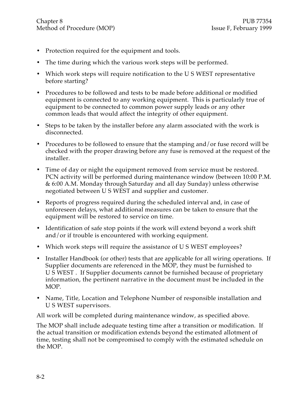- Protection required for the equipment and tools.
- The time during which the various work steps will be performed.
- Which work steps will require notification to the U S WEST representative before starting?
- Procedures to be followed and tests to be made before additional or modified equipment is connected to any working equipment. This is particularly true of equipment to be connected to common power supply leads or any other common leads that would affect the integrity of other equipment.
- Steps to be taken by the installer before any alarm associated with the work is disconnected.
- Procedures to be followed to ensure that the stamping and/or fuse record will be checked with the proper drawing before any fuse is removed at the request of the installer.
- Time of day or night the equipment removed from service must be restored. PCN activity will be performed during maintenance window (between 10:00 P.M. & 6:00 A.M. Monday through Saturday and all day Sunday) unless otherwise negotiated between U S WEST and supplier and customer.
- Reports of progress required during the scheduled interval and, in case of unforeseen delays, what additional measures can be taken to ensure that the equipment will be restored to service on time.
- Identification of safe stop points if the work will extend beyond a work shift and/or if trouble is encountered with working equipment.
- Which work steps will require the assistance of U S WEST employees?
- Installer Handbook (or other) tests that are applicable for all wiring operations. If Supplier documents are referenced in the MOP, they must be furnished to U S WEST . If Supplier documents cannot be furnished because of proprietary information, the pertinent narrative in the document must be included in the MOP.
- Name, Title, Location and Telephone Number of responsible installation and U S WEST supervisors.

All work will be completed during maintenance window, as specified above.

The MOP shall include adequate testing time after a transition or modification. If the actual transition or modification extends beyond the estimated allotment of time, testing shall not be compromised to comply with the estimated schedule on the MOP.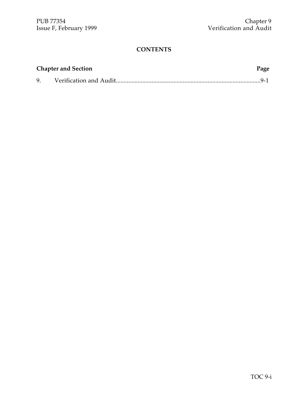| <b>Chapter and Section</b> |  |  |
|----------------------------|--|--|
| 9.                         |  |  |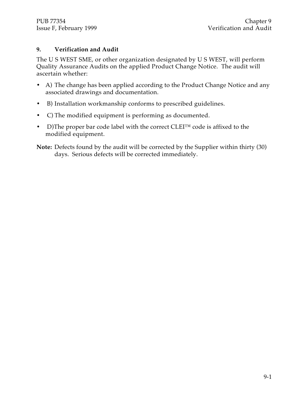### **9. Verification and Audit**

The U S WEST SME, or other organization designated by U S WEST, will perform Quality Assurance Audits on the applied Product Change Notice. The audit will ascertain whether:

- A) The change has been applied according to the Product Change Notice and any associated drawings and documentation.
- B) Installation workmanship conforms to prescribed guidelines.
- C) The modified equipment is performing as documented.
- D)The proper bar code label with the correct CLEI<sup>TM</sup> code is affixed to the modified equipment.
- **Note:** Defects found by the audit will be corrected by the Supplier within thirty (30) days. Serious defects will be corrected immediately.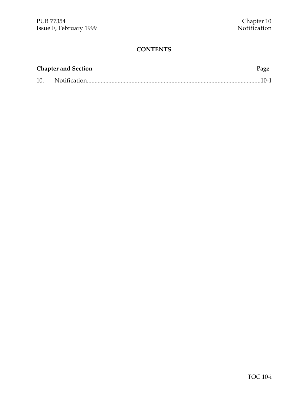|     | <b>Chapter and Section</b> | Page |
|-----|----------------------------|------|
| 10. |                            |      |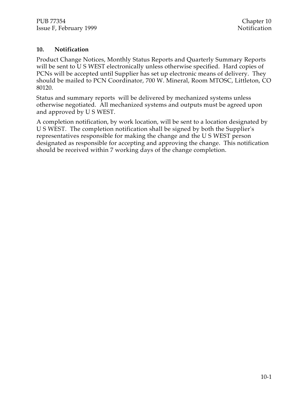#### **10. Notification**

Product Change Notices, Monthly Status Reports and Quarterly Summary Reports will be sent to U S WEST electronically unless otherwise specified. Hard copies of PCNs will be accepted until Supplier has set up electronic means of delivery. They should be mailed to PCN Coordinator, 700 W. Mineral, Room MTOSC, Littleton, CO 80120.

Status and summary reports will be delivered by mechanized systems unless otherwise negotiated. All mechanized systems and outputs must be agreed upon and approved by U S WEST.

A completion notification, by work location, will be sent to a location designated by U S WEST. The completion notification shall be signed by both the Supplier's representatives responsible for making the change and the U S WEST person designated as responsible for accepting and approving the change. This notification should be received within 7 working days of the change completion.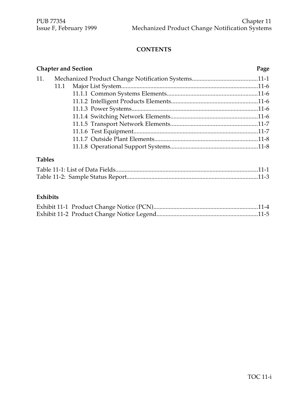|     | <b>Chapter and Section</b> | Page |
|-----|----------------------------|------|
| 11. |                            |      |
|     |                            |      |
|     |                            |      |
|     |                            |      |
|     |                            |      |
|     |                            |      |
|     |                            |      |
|     |                            |      |
|     |                            |      |
|     |                            |      |
|     |                            |      |

# **Tables**

# **Exhibits**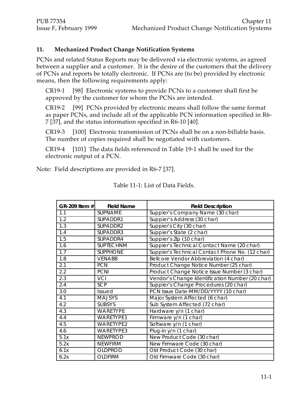#### **11. Mechanized Product Change Notification Systems**

PCNs and related Status Reports may be delivered via electronic systems, as agreed between a supplier and a customer. It is the desire of the customers that the delivery of PCNs and reports be totally electronic. If PCNs are (to be) provided by electronic means, then the following requirements apply:

CR19-1 [98] Electronic systems to provide PCNs to a customer shall first be approved by the customer for whom the PCNs are intended.

CR19-2 [99] PCNs provided by electronic means shall follow the same format as paper PCNs, and include all of the applicable PCN information specified in R6- 7 [37], and the status information specified in R6-10 [40].

CR19-3 [100] Electronic transmission of PCNs shall be on a non-billable basis. The number of copies required shall be negotiated with customers.

CR19-4 [101] The data fields referenced in Table 19-1 shall be used for the electronic output of a PCN.

Note: Field descriptions are provided in R6-7 [37].

| GR-209 Item #    | <b>Field Name</b> | <b>Field Description</b>                        |
|------------------|-------------------|-------------------------------------------------|
| 1.1              | SUPNAME           | Suppier's Company Name (30 char)                |
| 1.2              | SUPADDR1          | Suppier's Address (30 char)                     |
| $\overline{1.3}$ | SUPADDR2          | Suppier's City (30 char)                        |
| 1.4              | SUPADDR3          | Suppier's State (2 char)                        |
| 1.5              | SUPADDR4          | Suppier's Zip (10 char)                         |
| 1.6              | <b>SUPTECHNM</b>  | Suppier's Technical Contact Name (20 char)      |
| 1.7              | <b>SUPPHONE</b>   | Suppier's Technical Contact Phone No. (12 char) |
| 1.8              | <b>VENABB</b>     | Bellcore Vendor Abbreviation (4 char)           |
| 2.1              | <b>PCN</b>        | Product Change Notice Number (25 char)          |
| 2.2              | <b>PCNI</b>       | Product Change Notice Issue Number (3 char)     |
| 2.3              | <b>VCI</b>        | Vendor's Change Identification Number (20 char) |
| 2.4              | <b>SCP</b>        | Suppier's Change Procedures (20 char)           |
| 3.0              | <b>Issued</b>     | PCN Issue Date-MM/DD/YYYY (10 char)             |
| 4.1              | <b>MAJSYS</b>     | Major System Affected (6 char)                  |
| 4.2              | <b>SUBSYS</b>     | Sub System Affected (72 char)                   |
| 4.3              | WARETYPE          | Hardware y/n (1 char)                           |
| 4.4              | <b>WARETYPE1</b>  | Firmware y/n (1 char)                           |
| 4.5              | WARETYPE2         | Software y/n (1 char)                           |
| 4.6              | WARETYPE3         | Plug-in y/n (1 char)                            |
| 5.1x             | <b>NEWPROD</b>    | New Product Code (30 char)                      |
| 5.2x             | <b>NEWFIRM</b>    | New Firmware Code (30 char)                     |
| 6.1x             | <b>OLDPROD</b>    | Old Product Code (30 char)                      |
| 6.2x             | <b>OLDFIRM</b>    | Old Firmware Code (30 char)                     |

Table 11-1: List of Data Fields.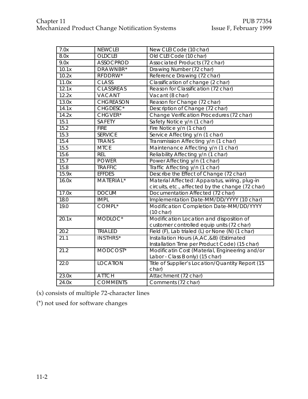| 7.0x  | <b>NEWCLEI</b>      | New CLEI Code (10 char)                          |
|-------|---------------------|--------------------------------------------------|
| 8.0x  | <b>OLDCLEI</b>      | Old CLEI Code (10 char)                          |
| 9.0x  | <b>ASSOCPROD</b>    | Associated Products (72 char)                    |
| 10.1x | DRAWNBR*            | Drawing Number (72 char)                         |
| 10.2x | RFDDRW*             | Reference Drawing (72 char)                      |
| 11.0x | <b>CLASS</b>        | Classification of change (2 char)                |
| 12.1x | <b>CLASSREAS</b>    | Reason for Classification (72 char)              |
| 12.2x | <b>VACANT</b>       | Vacant (8 char)                                  |
| 13.0x | <b>CHGREASON</b>    | Reason for Change (72 char)                      |
| 14.1x | CHGDESC*            | Description of Change (72 char)                  |
| 14.2x | CHGVER*             | Change Verification Procedures (72 char)         |
| 15.1  | SAFETY              | Safety Notice y/n (1 char)                       |
| 15.2  | <b>FIRE</b>         | Fire Notice y/n (1 char)                         |
| 15.3  | <b>SERVICE</b>      | Service Affecting y/n (1 char)                   |
| 15.4  | <b>TRANS</b>        | Transmission Affecting y/n (1 char)              |
| 15.5  | <b>MTCE</b>         | Maintenance Affecting y/n (1 char)               |
| 15.6  | <b>REL</b>          | Reliability Affecting y/n (1 char)               |
| 15.7  | <b>POWER</b>        | Power Affecting y/n (1 char)                     |
| 15.8  | <b>TRAFFIC</b>      | Traffic Affecting y/n (1 char)                   |
| 15.9x | <b>EFFDES</b>       | Describe the Effect of Change (72 char)          |
| 16.0x | <b>MATERIAL*</b>    | Material Affected: Apparatus, wiring, plug-in    |
|       |                     | circuits, etc., affected by the change (72 char) |
| 17.0x | <b>DOCUM</b>        | Documentation Affected (72 char)                 |
| 18.0  | <b>IMPL</b>         | Implementation Date-MM/DD/YYYY (10 char)         |
| 19.0  | COMPL <sup>*</sup>  | Modification Completion Date-MM/DD/YYYY          |
|       |                     | $(10 \text{ char})$                              |
| 20.1x | MODLOC <sup>*</sup> | Modification Location and disposition of         |
|       |                     | customer controlled equip units (72 char)        |
| 20.2  | <b>TRIALED</b>      | Field (F), Lab trialed (L) or None (N) (1 char)  |
| 21.1  | <b>INSTHRS*</b>     | Installation Hours (A,AC,&B) (Estimated          |
|       |                     | Installation Time per Product Code) (15 char)    |
| 21.2  | MODCOST*            | Modificatin Cost (Material, Engineering and/or   |
|       |                     | Labor - Class B only) (15 char)                  |
| 22.0  | <b>LOCATION</b>     | Title of Supplier's Location/Quantity Report (15 |
|       |                     | char)                                            |
| 23.0x | <b>ATTCH</b>        | Attachment (72 char)                             |
| 24.0x | <b>COMMENTS</b>     | Comments (72 char)                               |

(x) consists of multiple 72-character lines

(\*) not used for software changes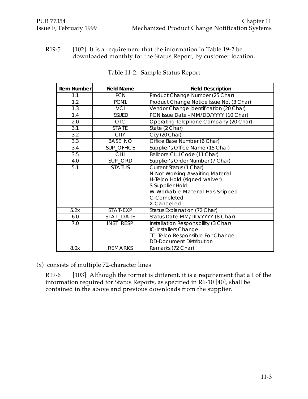R19-5 [102] It is a requirement that the information in Table 19-2 be downloaded monthly for the Status Report, by customer location.

| <b>Item Number</b> | <b>Field Name</b> | <b>Field Description</b>                 |
|--------------------|-------------------|------------------------------------------|
| 1.1<br><b>PCN</b>  |                   | Product Change Number (25 Char)          |
| 1.2                | PCN <sub>1</sub>  | Product Change Notice Issue No. (3 Char) |
| 1.3                | <b>VCI</b>        | Vendor Change Identification (20 Char)   |
| 1.4                | <b>ISSUED</b>     | PCN Issue Date - MM/DD/YYYY (10 Char)    |
| 2.0                | <b>OTC</b>        | Operating Telephone Company (20 Char)    |
| 3.1                | <b>STATE</b>      | State (2 Char)                           |
| 3.2                | <b>CITY</b>       | City (20 Char)                           |
| 3.3                | <b>BASE_NO</b>    | Office Base Number (6 Char)              |
| 3.4                | <b>SUP_OFFICE</b> | Supplier's Office Name (15 Char)         |
| 3.5                | <b>CLLI</b>       | Bellcore CLLI Code (11 Char)             |
| 4.0                | SUP_ORD           | Supplier's Order Number (7 Char)         |
| 5.1                | <b>STATUS</b>     | Current Status (1 Char)                  |
|                    |                   | N-Not Working-Awaiting Material          |
|                    |                   | H-Telco Hold (signed waiver)             |
|                    |                   | S-Supplier Hold                          |
|                    |                   | W-Workable-Material Has Shipped          |
|                    |                   | C-Completed                              |
|                    |                   | X-Cancelled                              |
| 5.2x               | STAT-EXP          | Status Explanation (72 Char)             |
| 6.0                | STAT_DATE         | Status Date-MM/DD/YYYY (8 Char)          |
| 7.0                | INST_RESP         | Installation Responsibility (3 Char)     |
|                    |                   | IC-Installers Change                     |
|                    |                   | <b>TC-Telco Responsible For Change</b>   |
|                    |                   | <b>DD-Document Distribution</b>          |
| 8.0x               | <b>REMARKS</b>    | Remarks (72 Char)                        |

| Table 11-2: Sample Status Report |  |
|----------------------------------|--|
|                                  |  |

(x) consists of multiple 72-character lines

R19-6 [103] Although the format is different, it is a requirement that all of the information required for Status Reports, as specified in R6-10 [40], shall be contained in the above and previous downloads from the supplier.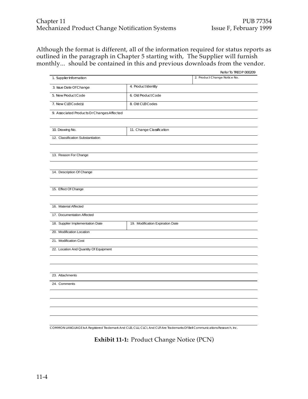Although the format is different, all of the information required for status reports as outlined in the paragraph in Chapter 5 starting with, The Supplier will furnish monthly... should be contained in this and previous downloads from the vendor.

|                                            |                                  | Refer To TREOP 000209        |
|--------------------------------------------|----------------------------------|------------------------------|
| 1. Supplier Information                    |                                  | 2. Product Change Notice No. |
| 3. Issue Date Of Change                    | 4. Product Identity              |                              |
| 5. New Product Code                        | 6. Old Product Code              |                              |
| 7. New CLEI Code(s)                        | 8. Old CLEI Codes                |                              |
| 9. Associated Products Or Changes Affected |                                  |                              |
| 10. Drawing No.                            | 11. Change Classification        |                              |
| 12. Classification Substantiation          |                                  |                              |
| 13. Reason For Change                      |                                  |                              |
| 14. Description Of Change                  |                                  |                              |
| 15. Effect Of Change                       |                                  |                              |
| 16. Material Affected                      |                                  |                              |
| 17. Documentation Affected                 |                                  |                              |
| 18. Supplier Implementation Date           | 19. Modification Expiration Date |                              |
| 20. Modification Location                  |                                  |                              |
| 21. Modification Cost                      |                                  |                              |
| 22. Location And Quantity Of Equipment     |                                  |                              |
|                                            |                                  |                              |
| 23. Attachments                            |                                  |                              |
| 24. Comments                               |                                  |                              |
|                                            |                                  |                              |
|                                            |                                  |                              |
|                                            |                                  |                              |

COMMON LANGUAGE Is A Registered Trademark And CLEI, CLLI, CLCI, And CLFI Are Trademarks Of Bell Communications Research, Inc.

**Exhibit 11-1:** Product Change Notice (PCN)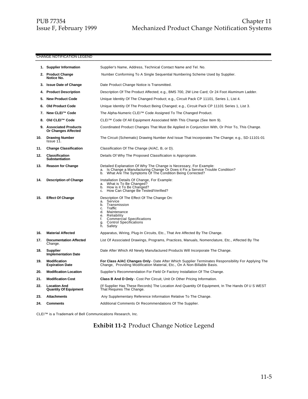#### CHANGE NOTIFICATION LEGEND

|     | 1. Supplier Information                             | Supplier's Name, Address, Technical Contact Name and Tel. No.                                                                                                                                                                                  |
|-----|-----------------------------------------------------|------------------------------------------------------------------------------------------------------------------------------------------------------------------------------------------------------------------------------------------------|
|     | 2. Product Change<br>Notice No.                     | Number Conforming To A Single Sequential Numbering Scheme Used by Supplier.                                                                                                                                                                    |
|     | 3. Issue Date of Change                             | Date Product Change Notice is Transmitted.                                                                                                                                                                                                     |
|     | 4. Product Description                              | Description Of The Product Affected; e.g., BMS 700, 2W Line Card; Or 24 Foot Aluminum Ladder.                                                                                                                                                  |
|     | 5. New Product Code                                 | Unique Identity Of The Changed Product; e.g., Circuit Pack CP 11101, Series 1, List 4.                                                                                                                                                         |
|     | 6. Old Product Code                                 | Unique Identity Of The Product Being Changed; e.g., Circuit Pack CP 11101 Series 1, List 3.                                                                                                                                                    |
|     | 7. New CLEI™ Code                                   | The Alpha-Numeric CLEI™ Code Assigned To The Changed Product.                                                                                                                                                                                  |
|     | 8. Old CLEI™ Code                                   | CLEI™ Code Of All Equipment Associated With This Change (See Item 9).                                                                                                                                                                          |
|     | 9. Associated Products<br>Or Changes Affected       | Coordinated Product Changes That Must Be Applied in Conjunction With, Or Prior To, This Change.                                                                                                                                                |
| 10. | <b>Drawing Number</b><br>$l$ ssue $11$ .            | The Circuit (Schematic) Drawing Number And Issue That Incorporates The Change; e.g., SD-11101-01                                                                                                                                               |
| 11. | <b>Change Classification</b>                        | Classification Of The Change (A/AC, B, or D).                                                                                                                                                                                                  |
| 12. | Classification<br><b>Substantiation</b>             | Details Of Why The Proposed Classification is Appropriate.                                                                                                                                                                                     |
| 13. | <b>Reason for Change</b>                            | Detailed Explanation Of Why The Change is Necessary, For Example:<br>Is Change a Manufacturing Change Or Does it Fix a Service Trouble Condition?<br>a.<br>What Are The Symptoms Of The Condition Being Corrected?<br>b.                       |
| 14. | <b>Description of Change</b>                        | Installation Details Of Change, For Example:<br>What is To Be Changed?<br>a.<br>How is it To Be Changed?<br>b.<br>How Can Change Be Tested/Verified?<br>C.                                                                                     |
| 15. | <b>Effect Of Change</b>                             | Description Of The Effect Of The Change On:<br>Service<br>а.<br>Transmission<br>b.<br>Traffic<br>c.<br>Maintenance<br>d.<br>Reliability<br>е.<br><b>Commercial Specifications</b><br>t.<br><b>Control Specifications</b><br>g.<br>Safety<br>h. |
| 16. | <b>Material Affected</b>                            | Apparatus, Wiring, Plug-In Circuits, Etc., That Are Affected By The Change.                                                                                                                                                                    |
| 17. | <b>Documentation Affected</b><br>Change.            | List Of Associated Drawings, Programs, Practices, Manuals, Nomenclature, Etc., Affected By The                                                                                                                                                 |
| 18. | <b>Supplier</b><br><b>Implementation Date</b>       | Date After Which All Newly Manufactured Products Will Incorporate The Change.                                                                                                                                                                  |
| 19. | <b>Modification</b><br><b>Expiration Date</b>       | For Class A/AC Changes Only - Date After Which Supplier Terminates Responsibility For Applying The<br>Change, Providing Modification Material, Etc., On A Non-Billable Basis.                                                                  |
| 20. | <b>Modification Location</b>                        | Supplier's Recommendation For Field Or Factory Installation Of The Change.                                                                                                                                                                     |
| 21. | <b>Modification Cost</b>                            | <b>Class B And D Only</b> - Cost Per Circuit, Unit Or Other Pricing Information.                                                                                                                                                               |
| 22. | <b>Location And</b><br><b>Quantity Of Equipment</b> | If Supplier Has These Records) The Location And Quantity Of Equipment, In The Hands Of U S WEST)<br>That Requires The Change.                                                                                                                  |
| 23. | <b>Attachments</b>                                  | Any Supplementary Reference Information Relative To The Change.                                                                                                                                                                                |
| 24. | <b>Comments</b>                                     | Additional Comments Or Recommendations Of The Supplier.                                                                                                                                                                                        |

CLEI™ is a Trademark of Bell Communications Research, Inc.

# **Exhibit 11-2** Product Change Notice Legend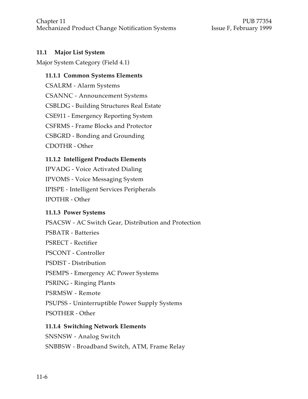#### **11.1 Major List System**

Major System Category (Field 4.1)

#### **11.1.1 Common Systems Elements**

CSALRM - Alarm Systems CSANNC - Announcement Systems CSBLDG - Building Structures Real Estate CSE911 - Emergency Reporting System CSFRMS - Frame Blocks and Protector CSBGRD - Bonding and Grounding CDOTHR - Other

#### **11.1.2 Intelligent Products Elements**

IPVADG - Voice Activated Dialing IPVOMS - Voice Messaging System IPISPE - Intelligent Services Peripherals IPOTHR - Other

#### **11.1.3 Power Systems**

PSACSW - AC Switch Gear, Distribution and Protection PSBATR - Batteries PSRECT - Rectifier PSCONT - Controller PSDIST - Distribution PSEMPS - Emergency AC Power Systems PSRING - Ringing Plants PSRMSW - Remote PSUPSS - Uninterruptible Power Supply Systems PSOTHER - Other **11.1.4 Switching Network Elements**

SNSNSW - Analog Switch SNBBSW - Broadband Switch, ATM, Frame Relay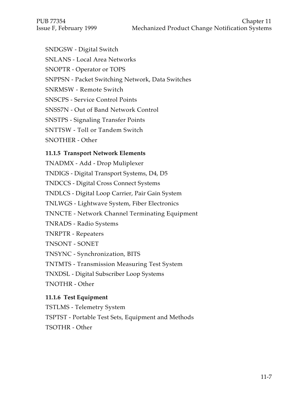- SNDGSW Digital Switch
- SNLANS Local Area Networks
- SNOPTR Operator or TOPS
- SNPPSN Packet Switching Network, Data Switches
- SNRMSW Remote Switch
- SNSCPS Service Control Points
- SNSS7N Out of Band Network Control
- SNSTPS Signaling Transfer Points
- SNTTSW Toll or Tandem Switch
- SNOTHER Other

# **11.1.5 Transport Network Elements**

TNADMX - Add - Drop Muliplexer

TNDIGS - Digital Transport Systems, D4, D5

TNDCCS - Digital Cross Connect Systems

TNDLCS - Digital Loop Carrier, Pair Gain System

- TNLWGS Lightwave System, Fiber Electronics
- TNNCTE Network Channel Terminating Equipment
- TNRADS Radio Systems
- TNRPTR Repeaters
- TNSONT SONET
- TNSYNC Synchronization, BITS
- TNTMTS Transmission Measuring Test System

TNXDSL - Digital Subscriber Loop Systems

TNOTHR - Other

# **11.1.6 Test Equipment**

TSTLMS - Telemetry System

TSPTST - Portable Test Sets, Equipment and Methods

TSOTHR - Other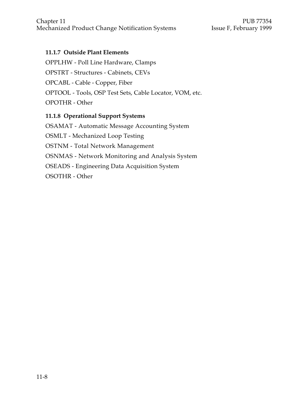#### **11.1.7 Outside Plant Elements**

OPPLHW - Poll Line Hardware, Clamps OPSTRT - Structures - Cabinets, CEVs OPCABL - Cable - Copper, Fiber OPTOOL - Tools, OSP Test Sets, Cable Locator, VOM, etc. OPOTHR - Other

#### **11.1.8 Operational Support Systems**

OSAMAT - Automatic Message Accounting System OSMLT - Mechanized Loop Testing OSTNM - Total Network Management OSNMAS - Network Monitoring and Analysis System OSEADS - Engineering Data Acquisition System OSOTHR - Other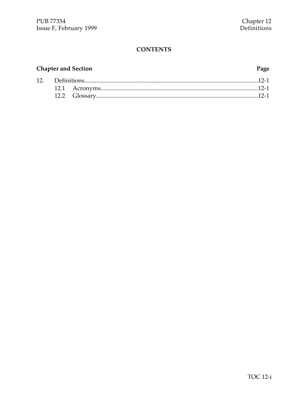# **Chapter and Section**

#### Page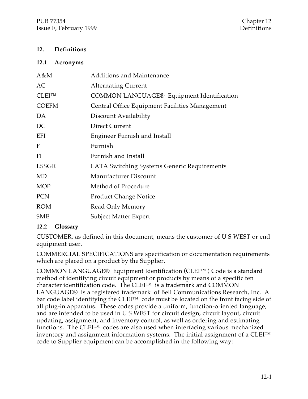#### **12. Definitions**

#### **12.1 Acronyms**

| $A\&M$       | <b>Additions and Maintenance</b>                 |
|--------------|--------------------------------------------------|
| AC           | <b>Alternating Current</b>                       |
| $CLEI^{TM}$  | <b>COMMON LANGUAGE® Equipment Identification</b> |
| <b>COEFM</b> | Central Office Equipment Facilities Management   |
| DA           | Discount Availability                            |
| DC           | Direct Current                                   |
| EFI          | Engineer Furnish and Install                     |
| $F_{\rm}$    | Furnish                                          |
| FI           | Furnish and Install                              |
| LSSGR        | LATA Switching Systems Generic Requirements      |
| <b>MD</b>    | Manufacturer Discount                            |
| <b>MOP</b>   | Method of Procedure                              |
| <b>PCN</b>   | <b>Product Change Notice</b>                     |
| <b>ROM</b>   | Read Only Memory                                 |
| <b>SME</b>   | <b>Subject Matter Expert</b>                     |

#### **12.2 Glossary**

CUSTOMER, as defined in this document, means the customer of U S WEST or end equipment user.

COMMERCIAL SPECIFICATIONS are specification or documentation requirements which are placed on a product by the Supplier.

COMMON LANGUAGE® Equipment Identification (CLEI™ ) Code is a standard method of identifying circuit equipment or products by means of a specific ten character identification code. The CLEI™ is a trademark and COMMON LANGUAGE® is a registered trademark of Bell Communications Research, Inc. A bar code label identifying the CLEI™ code must be located on the front facing side of all plug-in apparatus. These codes provide a uniform, function-oriented language, and are intended to be used in U S WEST for circuit design, circuit layout, circuit updating, assignment, and inventory control, as well as ordering and estimating functions. The CLEI™ codes are also used when interfacing various mechanized inventory and assignment information systems. The initial assignment of a CLEI™ code to Supplier equipment can be accomplished in the following way: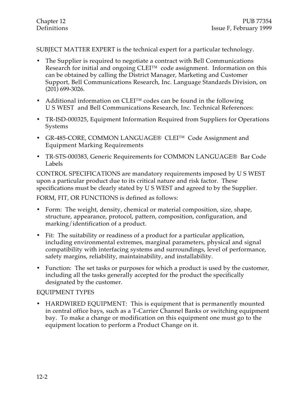SUBJECT MATTER EXPERT is the technical expert for a particular technology.

- The Supplier is required to negotiate a contract with Bell Communications Research for initial and ongoing CLEI™ code assignment. Information on this can be obtained by calling the District Manager, Marketing and Customer Support, Bell Communications Research, Inc. Language Standards Division, on (201) 699-3026.
- Additional information on CLEI™ codes can be found in the following U S WEST and Bell Communications Research, Inc. Technical References:
- TR-ISD-000325, Equipment Information Required from Suppliers for Operations Systems
- GR-485-CORE, COMMON LANGUAGE® CLEI™ Code Assignment and Equipment Marking Requirements
- TR-STS-000383, Generic Requirements for COMMON LANGUAGE® Bar Code Labels

CONTROL SPECIFICATIONS are mandatory requirements imposed by U S WEST upon a particular product due to its critical nature and risk factor. These specifications must be clearly stated by U S WEST and agreed to by the Supplier.

FORM, FIT, OR FUNCTIONS is defined as follows:

- Form: The weight, density, chemical or material composition, size, shape, structure, appearance, protocol, pattern, composition, configuration, and marking/identification of a product.
- Fit: The suitability or readiness of a product for a particular application, including environmental extremes, marginal parameters, physical and signal compatibility with interfacing systems and surroundings, level of performance, safety margins, reliability, maintainability, and installability.
- Function: The set tasks or purposes for which a product is used by the customer, including all the tasks generally accepted for the product the specifically designated by the customer.

#### EQUIPMENT TYPES

• HARDWIRED EQUIPMENT: This is equipment that is permanently mounted in central office bays, such as a T-Carrier Channel Banks or switching equipment bay. To make a change or modification on this equipment one must go to the equipment location to perform a Product Change on it.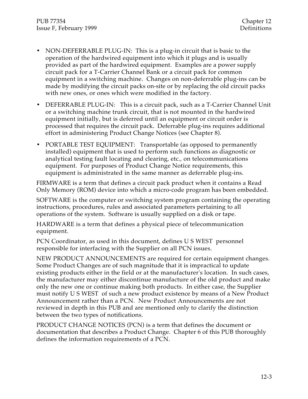- NON-DEFERRABLE PLUG-IN: This is a plug-in circuit that is basic to the operation of the hardwired equipment into which it plugs and is usually provided as part of the hardwired equipment. Examples are a power supply circuit pack for a T-Carrier Channel Bank or a circuit pack for common equipment in a switching machine. Changes on non-deferrable plug-ins can be made by modifying the circuit packs on-site or by replacing the old circuit packs with new ones, or ones which were modified in the factory.
- DEFERRABLE PLUG-IN: This is a circuit pack, such as a T-Carrier Channel Unit or a switching machine trunk circuit, that is not mounted in the hardwired equipment initially, but is deferred until an equipment or circuit order is processed that requires the circuit pack. Deferrable plug-ins requires additional effort in administering Product Change Notices (see Chapter 8).
- PORTABLE TEST EQUIPMENT: Transportable (as opposed to permanently installed) equipment that is used to perform such functions as diagnostic or analytical testing fault locating and clearing, etc., on telecommunications equipment. For purposes of Product Change Notice requirements, this equipment is administrated in the same manner as deferrable plug-ins.

FIRMWARE is a term that defines a circuit pack product when it contains a Read Only Memory (ROM) device into which a micro-code program has been embedded.

SOFTWARE is the computer or switching system program containing the operating instructions, procedures, rules and associated parameters pertaining to all operations of the system. Software is usually supplied on a disk or tape.

HARDWARE is a term that defines a physical piece of telecommunication equipment.

PCN Coordinator, as used in this document, defines U S WEST personnel responsible for interfacing with the Supplier on all PCN issues.

NEW PRODUCT ANNOUNCEMENTS are required for certain equipment changes. Some Product Changes are of such magnitude that it is impractical to update existing products either in the field or at the manufacturer's location. In such cases, the manufacturer may either discontinue manufacture of the old product and make only the new one or continue making both products. In either case, the Supplier must notify U S WEST of such a new product existence by means of a New Product Announcement rather than a PCN. New Product Announcements are not reviewed in depth in this PUB and are mentioned only to clarify the distinction between the two types of notifications.

PRODUCT CHANGE NOTICES (PCN) is a term that defines the document or documentation that describes a Product Change. Chapter 6 of this PUB thoroughly defines the information requirements of a PCN.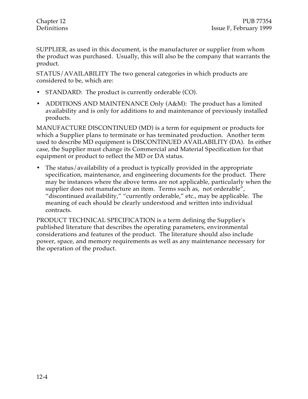SUPPLIER, as used in this document, is the manufacturer or supplier from whom the product was purchased. Usually, this will also be the company that warrants the product.

STATUS/AVAILABILITY The two general categories in which products are considered to be, which are:

- STANDARD: The product is currently orderable (CO).
- ADDITIONS AND MAINTENANCE Only (A&M): The product has a limited availability and is only for additions to and maintenance of previously installed products.

MANUFACTURE DISCONTINUED (MD) is a term for equipment or products for which a Supplier plans to terminate or has terminated production. Another term used to describe MD equipment is DISCONTINUED AVAILABILITY (DA). In either case, the Supplier must change its Commercial and Material Specification for that equipment or product to reflect the MD or DA status.

• The status/availability of a product is typically provided in the appropriate specification, maintenance, and engineering documents for the product. There may be instances where the above terms are not applicable, particularly when the supplier does not manufacture an item. Terms such as, not orderable", "discontinued availability," "currently orderable," etc., may be applicable. The meaning of each should be clearly understood and written into individual contracts.

PRODUCT TECHNICAL SPECIFICATION is a term defining the Supplier's published literature that describes the operating parameters, environmental considerations and features of the product. The literature should also include power, space, and memory requirements as well as any maintenance necessary for the operation of the product.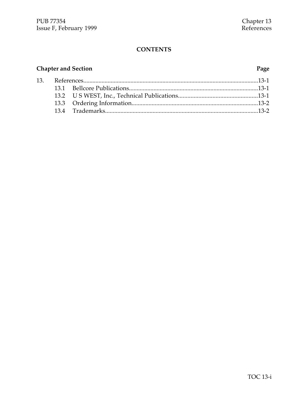# **Chapter and Section Page**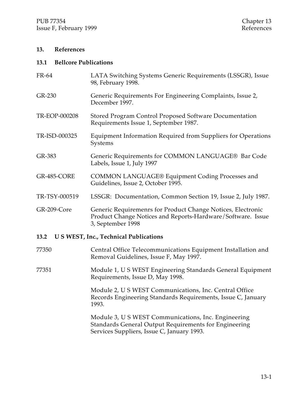#### **13. References**

#### **13.1 Bellcore Publications**

| FR-64         | LATA Switching Systems Generic Requirements (LSSGR), Issue<br>98, February 1998.                                                                |
|---------------|-------------------------------------------------------------------------------------------------------------------------------------------------|
| GR-230        | Generic Requirements For Engineering Complaints, Issue 2,<br>December 1997.                                                                     |
| TR-EOP-000208 | Stored Program Control Proposed Software Documentation<br>Requirements Issue 1, September 1987.                                                 |
| TR-ISD-000325 | Equipment Information Required from Suppliers for Operations<br>Systems                                                                         |
| GR-383        | Generic Requirements for COMMON LANGUAGE® Bar Code<br>Labels, Issue 1, July 1997                                                                |
| GR-485-CORE   | <b>COMMON LANGUAGE® Equipment Coding Processes and</b><br>Guidelines, Issue 2, October 1995.                                                    |
| TR-TSY-000519 | LSSGR: Documentation, Common Section 19, Issue 2, July 1987.                                                                                    |
| GR-209-Core   | Generic Requiremenrs for Product Change Notices, Electronic<br>Product Change Notices and Reports-Hardware/Software. Issue<br>3, September 1998 |

#### **13.2 U S WEST, Inc., Technical Publications**

- 77350 Central Office Telecommunications Equipment Installation and Removal Guidelines, Issue F, May 1997.
- 77351 Module 1, U S WEST Engineering Standards General Equipment Requirements, Issue D, May 1998.

Module 2, U S WEST Communications, Inc. Central Office Records Engineering Standards Requirements, Issue C, January 1993.

Module 3, U S WEST Communications, Inc. Engineering Standards General Output Requirements for Engineering Services Suppliers, Issue C, January 1993.